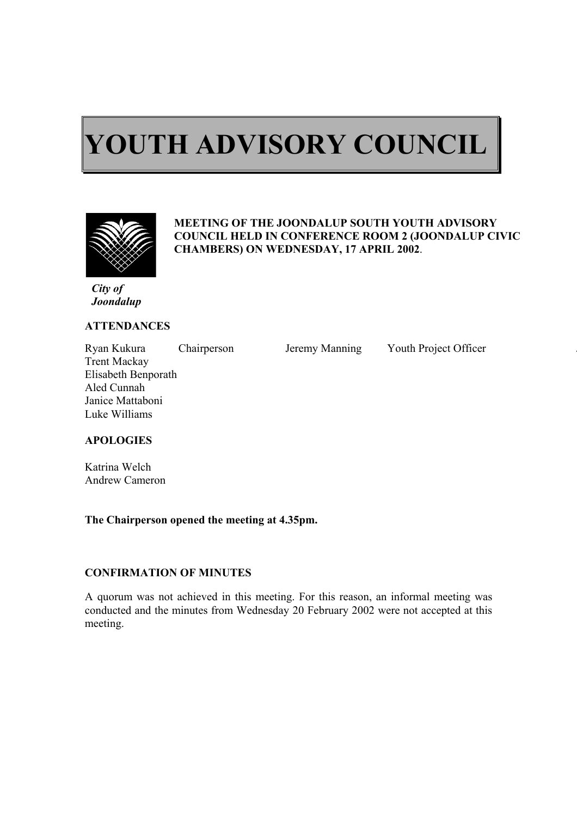# $\overline{a}$ **YOUTH ADVISORY COUNCIL**



ı

#### **MEETING OF THE JOONDALUP SOUTH YOUTH ADVISORY COUNCIL HELD IN CONFERENCE ROOM 2 (JOONDALUP CIVIC CHAMBERS) ON WEDNESDAY, 17 APRIL 2002**.

*City of Joondalup* 

#### **ATTENDANCES**

Ryan Kukura Chairperson Jeremy Manning Youth Project Officer Trent Mackay Elisabeth Benporath Aled Cunnah Janice Mattaboni Luke Williams

## **APOLOGIES**

Katrina Welch Andrew Cameron

#### **The Chairperson opened the meeting at 4.35pm.**

#### **CONFIRMATION OF MINUTES**

A quorum was not achieved in this meeting. For this reason, an informal meeting was conducted and the minutes from Wednesday 20 February 2002 were not accepted at this meeting.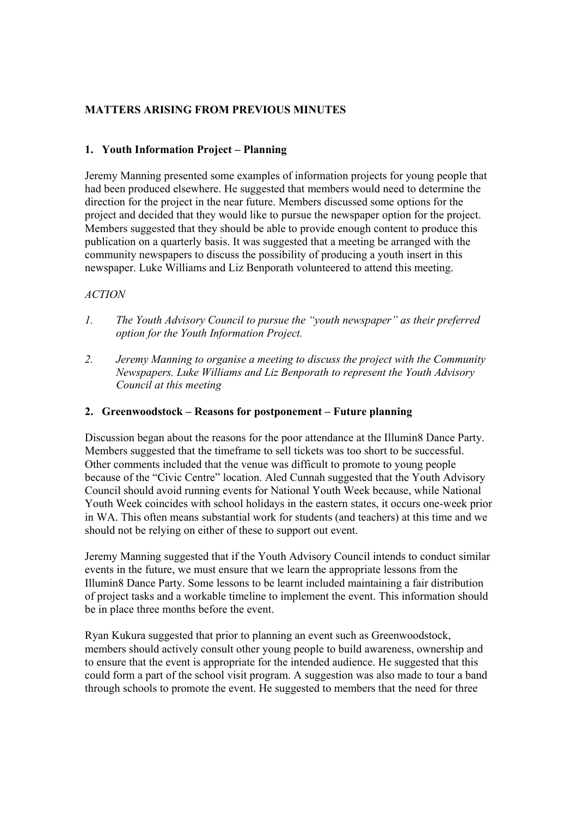## **MATTERS ARISING FROM PREVIOUS MINUTES**

## **1. Youth Information Project – Planning**

Jeremy Manning presented some examples of information projects for young people that had been produced elsewhere. He suggested that members would need to determine the direction for the project in the near future. Members discussed some options for the project and decided that they would like to pursue the newspaper option for the project. Members suggested that they should be able to provide enough content to produce this publication on a quarterly basis. It was suggested that a meeting be arranged with the community newspapers to discuss the possibility of producing a youth insert in this newspaper. Luke Williams and Liz Benporath volunteered to attend this meeting.

### *ACTION*

- *1. The Youth Advisory Council to pursue the "youth newspaper" as their preferred option for the Youth Information Project.*
- *2. Jeremy Manning to organise a meeting to discuss the project with the Community Newspapers. Luke Williams and Liz Benporath to represent the Youth Advisory Council at this meeting*

#### **2. Greenwoodstock – Reasons for postponement – Future planning**

Discussion began about the reasons for the poor attendance at the Illumin8 Dance Party. Members suggested that the timeframe to sell tickets was too short to be successful. Other comments included that the venue was difficult to promote to young people because of the "Civic Centre" location. Aled Cunnah suggested that the Youth Advisory Council should avoid running events for National Youth Week because, while National Youth Week coincides with school holidays in the eastern states, it occurs one-week prior in WA. This often means substantial work for students (and teachers) at this time and we should not be relying on either of these to support out event.

Jeremy Manning suggested that if the Youth Advisory Council intends to conduct similar events in the future, we must ensure that we learn the appropriate lessons from the Illumin8 Dance Party. Some lessons to be learnt included maintaining a fair distribution of project tasks and a workable timeline to implement the event. This information should be in place three months before the event.

Ryan Kukura suggested that prior to planning an event such as Greenwoodstock, members should actively consult other young people to build awareness, ownership and to ensure that the event is appropriate for the intended audience. He suggested that this could form a part of the school visit program. A suggestion was also made to tour a band through schools to promote the event. He suggested to members that the need for three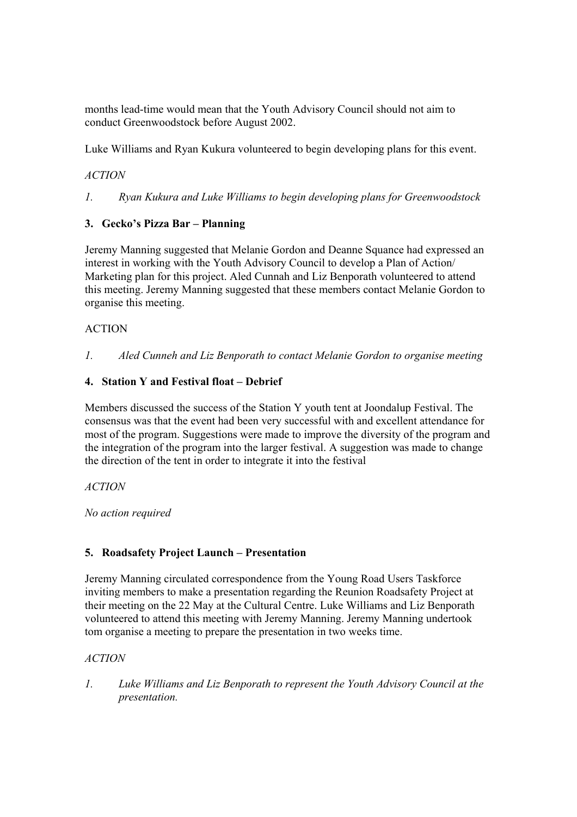months lead-time would mean that the Youth Advisory Council should not aim to conduct Greenwoodstock before August 2002.

Luke Williams and Ryan Kukura volunteered to begin developing plans for this event.

## *ACTION*

*1. Ryan Kukura and Luke Williams to begin developing plans for Greenwoodstock* 

## **3. Gecko's Pizza Bar – Planning**

Jeremy Manning suggested that Melanie Gordon and Deanne Squance had expressed an interest in working with the Youth Advisory Council to develop a Plan of Action/ Marketing plan for this project. Aled Cunnah and Liz Benporath volunteered to attend this meeting. Jeremy Manning suggested that these members contact Melanie Gordon to organise this meeting.

## ACTION

*1. Aled Cunneh and Liz Benporath to contact Melanie Gordon to organise meeting* 

### **4. Station Y and Festival float – Debrief**

Members discussed the success of the Station Y youth tent at Joondalup Festival. The consensus was that the event had been very successful with and excellent attendance for most of the program. Suggestions were made to improve the diversity of the program and the integration of the program into the larger festival. A suggestion was made to change the direction of the tent in order to integrate it into the festival

#### *ACTION*

*No action required* 

## **5. Roadsafety Project Launch – Presentation**

Jeremy Manning circulated correspondence from the Young Road Users Taskforce inviting members to make a presentation regarding the Reunion Roadsafety Project at their meeting on the 22 May at the Cultural Centre. Luke Williams and Liz Benporath volunteered to attend this meeting with Jeremy Manning. Jeremy Manning undertook tom organise a meeting to prepare the presentation in two weeks time.

## *ACTION*

*1. Luke Williams and Liz Benporath to represent the Youth Advisory Council at the presentation.*